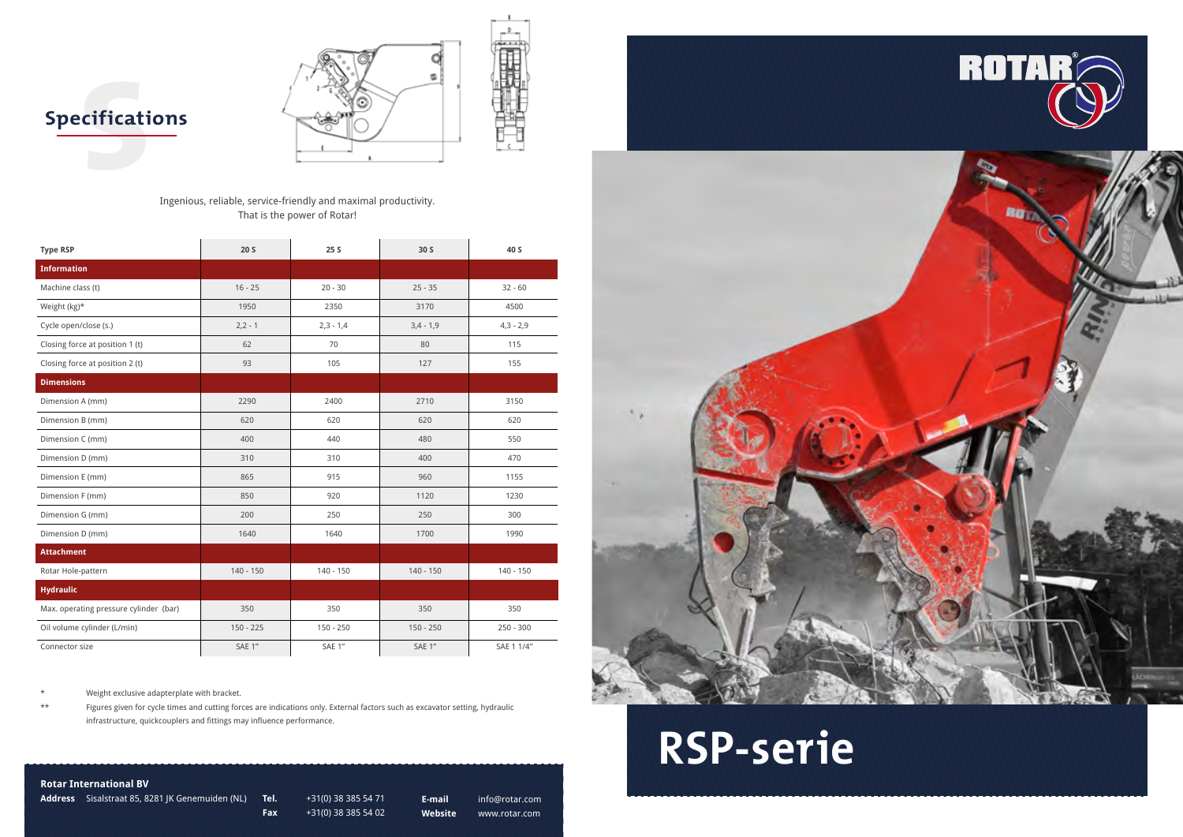



### **Rotar International BV**

**Address** Sisalstraat 85, 8281 JK Genemuiden (NL) **Tel.** +31(0) 38 385 54 71

**Fax** +31(0) 38 385 54 02

**E-mail** info@rotar.com **Website** www.rotar.com



#### Ingenious, reliable, service-friendly and maximal productivity. That is the power of Rotar!

\* Weight exclusive adapterplate with bracket.

\*\* Figures given for cycle times and cutting forces are indications only. External factors such as excavator setting, hydraulic infrastructure, quickcouplers and fittings may influence performance.

| <b>Type RSP</b>                        | 20 <sub>S</sub> | 25S         | 30 S        | 40 S        |
|----------------------------------------|-----------------|-------------|-------------|-------------|
| <b>Information</b>                     |                 |             |             |             |
| Machine class (t)                      | $16 - 25$       | $20 - 30$   | $25 - 35$   | $32 - 60$   |
| Weight (kg)*                           | 1950            | 2350        | 3170        | 4500        |
| Cycle open/close (s.)                  | $2,2 - 1$       | $2,3 - 1,4$ | $3,4 - 1,9$ | $4,3 - 2,9$ |
| Closing force at position 1 (t)        | 62              | 70          | 80          | 115         |
| Closing force at position 2 (t)        | 93              | 105         | 127         | 155         |
| <b>Dimensions</b>                      |                 |             |             |             |
| Dimension A (mm)                       | 2290            | 2400        | 2710        | 3150        |
| Dimension B (mm)                       | 620             | 620         | 620         | 620         |
| Dimension C (mm)                       | 400             | 440         | 480         | 550         |
| Dimension D (mm)                       | 310             | 310         | 400         | 470         |
| Dimension E (mm)                       | 865             | 915         | 960         | 1155        |
| Dimension F (mm)                       | 850             | 920         | 1120        | 1230        |
| Dimension G (mm)                       | 200             | 250         | 250         | 300         |
| Dimension D (mm)                       | 1640            | 1640        | 1700        | 1990        |
| <b>Attachment</b>                      |                 |             |             |             |
| Rotar Hole-pattern                     | $140 - 150$     | $140 - 150$ | $140 - 150$ | $140 - 150$ |
| <b>Hydraulic</b>                       |                 |             |             |             |
| Max. operating pressure cylinder (bar) | 350             | 350         | 350         | 350         |
| Oil volume cylinder (L/min)            | $150 - 225$     | $150 - 250$ | $150 - 250$ | $250 - 300$ |
| Connector size                         | SAE 1"          | SAE 1"      | SAE 1"      | SAE 1 1/4"  |